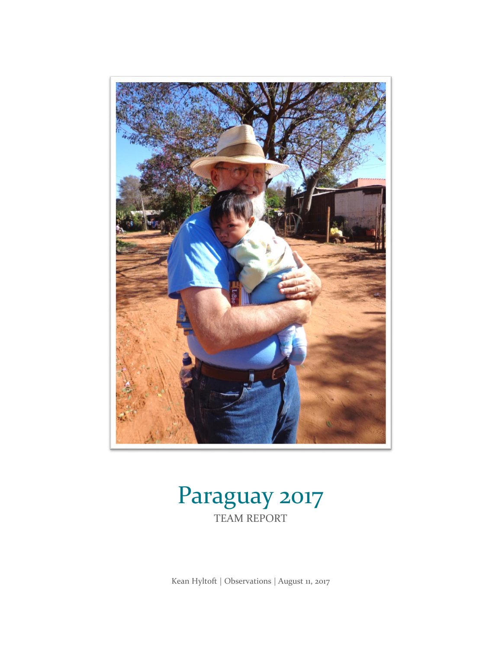

## Paraguay 2017 TEAM REPORT

Kean Hyltoft | Observations | August 11, 2017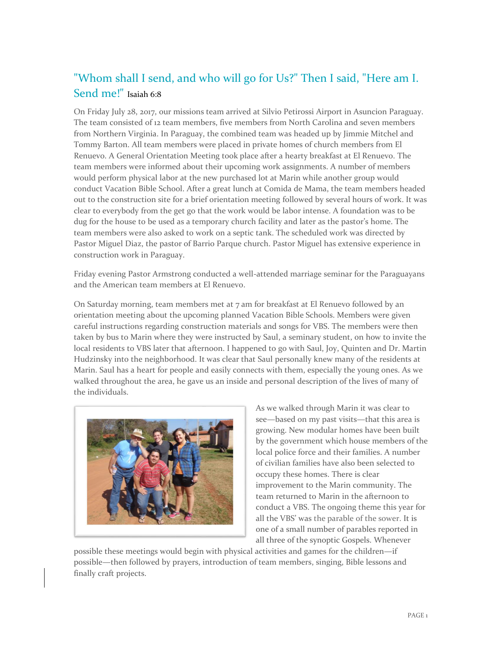## "Whom shall I send, and who will go for Us?" Then I said, "Here am I. Send me!" Isaiah 6:8

On Friday July 28, 2017, our missions team arrived at Silvio Petirossi Airport in Asuncion Paraguay. The team consisted of 12 team members, five members from North Carolina and seven members from Northern Virginia. In Paraguay, the combined team was headed up by Jimmie Mitchel and Tommy Barton. All team members were placed in private homes of church members from El Renuevo. A General Orientation Meeting took place after a hearty breakfast at El Renuevo. The team members were informed about their upcoming work assignments. A number of members would perform physical labor at the new purchased lot at Marin while another group would conduct Vacation Bible School. After a great lunch at Comida de Mama, the team members headed out to the construction site for a brief orientation meeting followed by several hours of work. It was clear to everybody from the get go that the work would be labor intense. A foundation was to be dug for the house to be used as a temporary church facility and later as the pastor's home. The team members were also asked to work on a septic tank. The scheduled work was directed by Pastor Miguel Diaz, the pastor of Barrio Parque church. Pastor Miguel has extensive experience in construction work in Paraguay.

Friday evening Pastor Armstrong conducted a well-attended marriage seminar for the Paraguayans and the American team members at El Renuevo.

On Saturday morning, team members met at  $7$  am for breakfast at El Renuevo followed by an orientation meeting about the upcoming planned Vacation Bible Schools. Members were given careful instructions regarding construction materials and songs for VBS. The members were then taken by bus to Marin where they were instructed by Saul, a seminary student, on how to invite the local residents to VBS later that afternoon. I happened to go with Saul, Joy, Quinten and Dr. Martin Hudzinsky into the neighborhood. It was clear that Saul personally knew many of the residents at Marin. Saul has a heart for people and easily connects with them, especially the young ones. As we walked throughout the area, he gave us an inside and personal description of the lives of many of the individuals.



As we walked through Marin it was clear to see—based on my past visits—that this area is growing. New modular homes have been built by the government which house members of the local police force and their families. A number of civilian families have also been selected to occupy these homes. There is clear improvement to the Marin community. The team returned to Marin in the afternoon to conduct a VBS. The ongoing theme this year for all the VBS' was the parable of the sower. It is one of a small number of parables reported in all three of the synoptic Gospels. Whenever

possible these meetings would begin with physical activities and games for the children—if possible—then followed by prayers, introduction of team members, singing, Bible lessons and finally craft projects.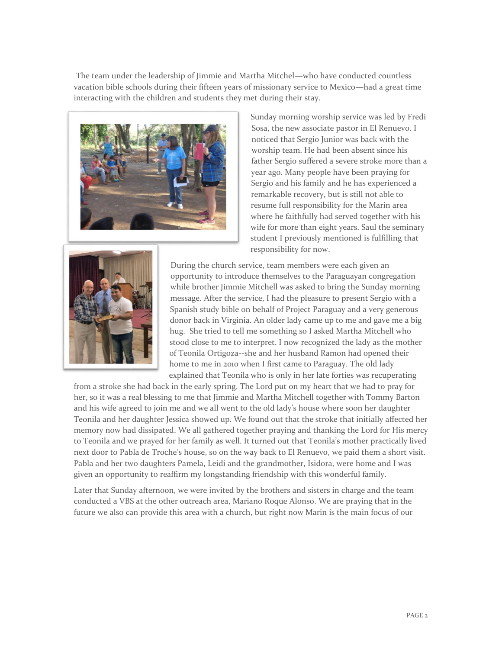The team under the leadership of Jimmie and Martha Mitchel—who have conducted countless vacation bible schools during their fifteen years of missionary service to Mexico—had a great time interacting with the children and students they met during their stay.



Sunday morning worship service was led by Fredi Sosa, the new associate pastor in El Renuevo. I noticed that Sergio Junior was back with the worship team. He had been absent since his father Sergio suffered a severe stroke more than a year ago. Many people have been praying for Sergio and his family and he has experienced a remarkable recovery, but is still not able to resume full responsibility for the Marin area where he faithfully had served together with his wife for more than eight years. Saul the seminary student I previously mentioned is fulfilling that responsibility for now.



During the church service, team members were each given an opportunity to introduce themselves to the Paraguayan congregation while brother Jimmie Mitchell was asked to bring the Sunday morning message. After the service, I had the pleasure to present Sergio with a Spanish study bible on behalf of Project Paraguay and a very generous donor back in Virginia. An older lady came up to me and gave me a big hug. She tried to tell me something so I asked Martha Mitchell who stood close to me to interpret. I now recognized the lady as the mother of Teonila Ortigoza--she and her husband Ramon had opened their home to me in 2010 when I first came to Paraguay. The old lady explained that Teonila who is only in her late forties was recuperating

from a stroke she had back in the early spring. The Lord put on my heart that we had to pray for her, so it was a real blessing to me that Jimmie and Martha Mitchell together with Tommy Barton and his wife agreed to join me and we all went to the old lady's house where soon her daughter Teonila and her daughter Jessica showed up. We found out that the stroke that initially affected her memory now had dissipated. We all gathered together praying and thanking the Lord for His mercy to Teonila and we prayed for her family as well. It turned out that Teonila's mother practically lived next door to Pabla de Troche's house, so on the way back to El Renuevo, we paid them a short visit. Pabla and her two daughters Pamela, Leidi and the grandmother, Isidora, were home and I was given an opportunity to reaffirm my longstanding friendship with this wonderful family.

Later that Sunday afternoon, we were invited by the brothers and sisters in charge and the team conducted a VBS at the other outreach area, Mariano Roque Alonso. We are praying that in the future we also can provide this area with a church, but right now Marin is the main focus of our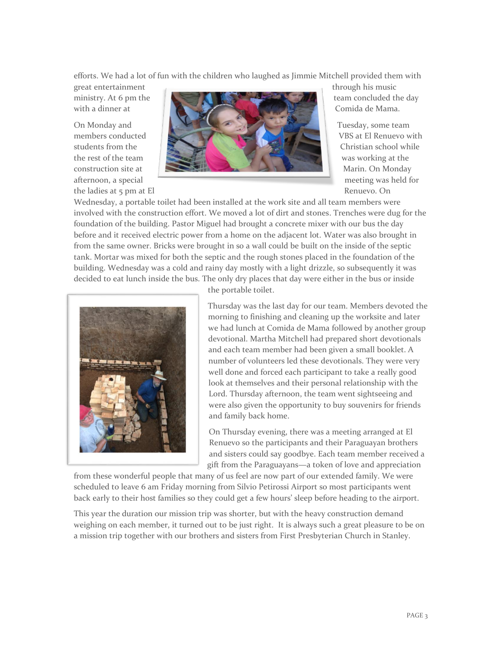efforts. We had a lot of fun with the children who laughed as Jimmie Mitchell provided them with

the ladies at 5 pm at El Renuevo. On



Wednesday, a portable toilet had been installed at the work site and all team members were involved with the construction effort. We moved a lot of dirt and stones. Trenches were dug for the foundation of the building. Pastor Miguel had brought a concrete mixer with our bus the day before and it received electric power from a home on the adjacent lot. Water was also brought in from the same owner. Bricks were brought in so a wall could be built on the inside of the septic tank. Mortar was mixed for both the septic and the rough stones placed in the foundation of the building. Wednesday was a cold and rainy day mostly with a light drizzle, so subsequently it was decided to eat lunch inside the bus. The only dry places that day were either in the bus or inside



the portable toilet.

Thursday was the last day for our team. Members devoted the morning to finishing and cleaning up the worksite and later we had lunch at Comida de Mama followed by another group devotional. Martha Mitchell had prepared short devotionals and each team member had been given a small booklet. A number of volunteers led these devotionals. They were very well done and forced each participant to take a really good look at themselves and their personal relationship with the Lord. Thursday afternoon, the team went sightseeing and were also given the opportunity to buy souvenirs for friends and family back home.

On Thursday evening, there was a meeting arranged at El Renuevo so the participants and their Paraguayan brothers and sisters could say goodbye. Each team member received a gift from the Paraguayans—a token of love and appreciation

from these wonderful people that many of us feel are now part of our extended family. We were scheduled to leave 6 am Friday morning from Silvio Petirossi Airport so most participants went back early to their host families so they could get a few hours' sleep before heading to the airport.

This year the duration our mission trip was shorter, but with the heavy construction demand weighing on each member, it turned out to be just right. It is always such a great pleasure to be on a mission trip together with our brothers and sisters from First Presbyterian Church in Stanley.